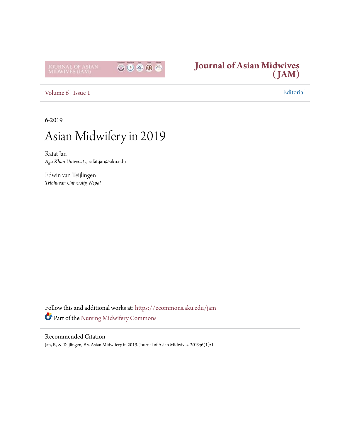



[Volume 6](https://ecommons.aku.edu/jam/vol6?utm_source=ecommons.aku.edu%2Fjam%2Fvol6%2Fiss1%2F1&utm_medium=PDF&utm_campaign=PDFCoverPages) | [Issue 1](https://ecommons.aku.edu/jam/vol6/iss1?utm_source=ecommons.aku.edu%2Fjam%2Fvol6%2Fiss1%2F1&utm_medium=PDF&utm_campaign=PDFCoverPages) Editorial

6-2019

## Asian Midwifery in 2019

Rafat Jan *Aga Khan University*, rafat.jan@aku.edu

Edwin van Teijlingen *Tribhuvan University, Nepal*

Follow this and additional works at: [https://ecommons.aku.edu/jam](https://ecommons.aku.edu/jam?utm_source=ecommons.aku.edu%2Fjam%2Fvol6%2Fiss1%2F1&utm_medium=PDF&utm_campaign=PDFCoverPages) Part of the [Nursing Midwifery Commons](http://network.bepress.com/hgg/discipline/722?utm_source=ecommons.aku.edu%2Fjam%2Fvol6%2Fiss1%2F1&utm_medium=PDF&utm_campaign=PDFCoverPages)

## Recommended Citation

Jan, R, & Teijlingen, E v. Asian Midwifery in 2019. Journal of Asian Midwives. 2019;6(1):1.